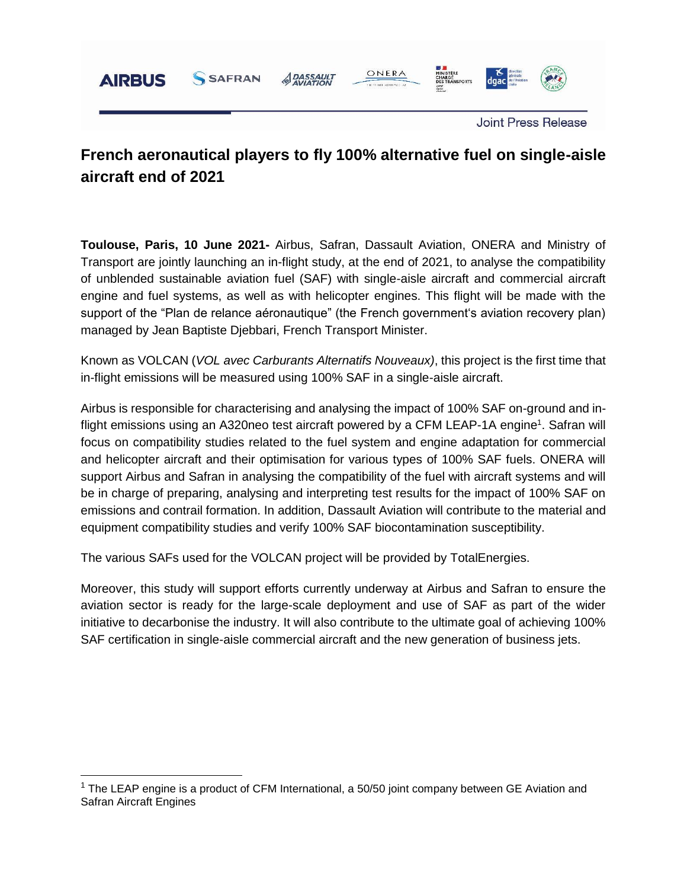

**Joint Press Release** 

# **French aeronautical players to fly 100% alternative fuel on single-aisle aircraft end of 2021**

**Toulouse, Paris, 10 June 2021-** Airbus, Safran, Dassault Aviation, ONERA and Ministry of Transport are jointly launching an in-flight study, at the end of 2021, to analyse the compatibility of unblended sustainable aviation fuel (SAF) with single-aisle aircraft and commercial aircraft engine and fuel systems, as well as with helicopter engines. This flight will be made with the support of the "Plan de relance aéronautique" (the French government's aviation recovery plan) managed by Jean Baptiste Djebbari, French Transport Minister.

Known as VOLCAN (*VOL avec Carburants Alternatifs Nouveaux)*, this project is the first time that in-flight emissions will be measured using 100% SAF in a single-aisle aircraft.

Airbus is responsible for characterising and analysing the impact of 100% SAF on-ground and inflight emissions using an A320neo test aircraft powered by a CFM LEAP-1A engine<sup>1</sup>. Safran will focus on compatibility studies related to the fuel system and engine adaptation for commercial and helicopter aircraft and their optimisation for various types of 100% SAF fuels. ONERA will support Airbus and Safran in analysing the compatibility of the fuel with aircraft systems and will be in charge of preparing, analysing and interpreting test results for the impact of 100% SAF on emissions and contrail formation. In addition, Dassault Aviation will contribute to the material and equipment compatibility studies and verify 100% SAF biocontamination susceptibility.

The various SAFs used for the VOLCAN project will be provided by TotalEnergies.

Moreover, this study will support efforts currently underway at Airbus and Safran to ensure the aviation sector is ready for the large-scale deployment and use of SAF as part of the wider initiative to decarbonise the industry. It will also contribute to the ultimate goal of achieving 100% SAF certification in single-aisle commercial aircraft and the new generation of business jets.

 $1$  The LEAP engine is a product of CFM International, a 50/50 joint company between GE Aviation and Safran Aircraft Engines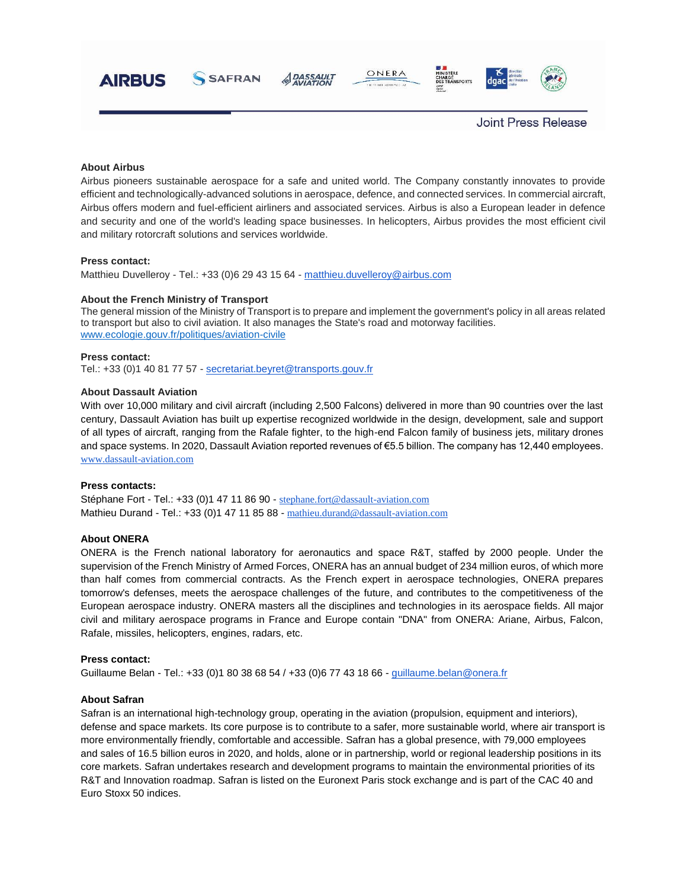

# **About Airbus**

Airbus pioneers sustainable aerospace for a safe and united world. The Company constantly innovates to provide efficient and technologically-advanced solutions in aerospace, defence, and connected services. In commercial aircraft, Airbus offers modern and fuel-efficient airliners and associated services. Airbus is also a European leader in defence and security and one of the world's leading space businesses. In helicopters, Airbus provides the most efficient civil and military rotorcraft solutions and services worldwide.

## **Press contact:**

Matthieu Duvelleroy - Tel.: +33 (0)6 29 43 15 64 - [matthieu.duvelleroy@airbus.com](mailto:matthieu.duvelleroy@airbus.com)

## **About the French Ministry of Transport**

The general mission of the Ministry of Transport is to prepare and implement the government's policy in all areas related to transport but also to civil aviation. It also manages the State's road and motorway facilities. [www.ecologie.gouv.fr/politiques/aviation-civile](https://www.ecologie.gouv.fr/politiques/aviation-civile)

#### **Press contact:**

Tel.: +33 (0)1 40 81 77 57 - [secretariat.beyret@transports.gouv.fr](mailto:secretariat.beyret@transports.gouv.fr)

#### **About Dassault Aviation**

With over 10,000 military and civil aircraft (including 2,500 Falcons) delivered in more than 90 countries over the last century, Dassault Aviation has built up expertise recognized worldwide in the design, development, sale and support of all types of aircraft, ranging from the Rafale fighter, to the high-end Falcon family of business jets, military drones and space systems. In 2020, Dassault Aviation reported revenues of €5.5 billion. The company has 12,440 employees. [www.dassault-aviation.com](http://www.dassault-aviation.com/)

#### **Press contacts:**

Stéphane Fort - Tel.: +33 (0)1 47 11 86 90 - [stephane.fort@dassault-aviation.com](mailto:stephane.fort@dassault-aviation.com) Mathieu Durand - Tel.: +33 (0)1 47 11 85 88 - [mathieu.durand@dassault-aviation.com](mailto:mathieu.durand@dassault-aviation.com)

#### **About ONERA**

ONERA is the French national laboratory for aeronautics and space R&T, staffed by 2000 people. Under the supervision of the French Ministry of Armed Forces, ONERA has an annual budget of 234 million euros, of which more than half comes from commercial contracts. As the French expert in aerospace technologies, ONERA prepares tomorrow's defenses, meets the aerospace challenges of the future, and contributes to the competitiveness of the European aerospace industry. ONERA masters all the disciplines and technologies in its aerospace fields. All major civil and military aerospace programs in France and Europe contain "DNA" from ONERA: Ariane, Airbus, Falcon, Rafale, missiles, helicopters, engines, radars, etc.

#### **Press contact:**

Guillaume Belan - Tel.: +33 (0)1 80 38 68 54 / +33 (0)6 77 43 18 66 - [guillaume.belan@onera.fr](mailto:guillaume.belan@onera.fr)

#### **About Safran**

Safran is an international high-technology group, operating in the aviation (propulsion, equipment and interiors), defense and space markets. Its core purpose is to contribute to a safer, more sustainable world, where air transport is more environmentally friendly, comfortable and accessible. Safran has a global presence, with 79,000 employees and sales of 16.5 billion euros in 2020, and holds, alone or in partnership, world or regional leadership positions in its core markets. Safran undertakes research and development programs to maintain the environmental priorities of its R&T and Innovation roadmap. Safran is listed on the Euronext Paris stock exchange and is part of the CAC 40 and Euro Stoxx 50 indices.